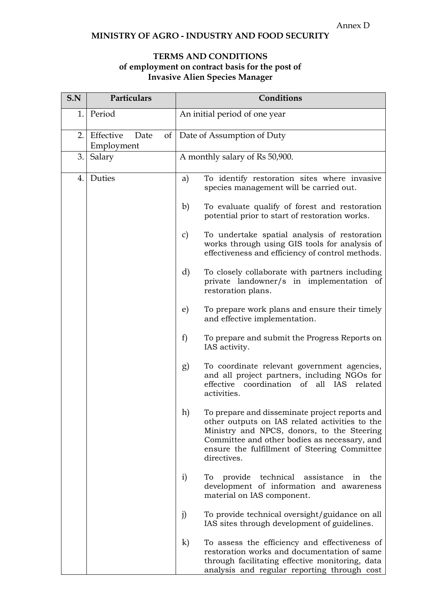## **MINISTRY OF AGRO - INDUSTRY AND FOOD SECURITY**

## **TERMS AND CONDITIONS of employment on contract basis for the post of Invasive Alien Species Manager**

| S.N | Particulars                     | Conditions                                                                                                                                                                                                                                                          |
|-----|---------------------------------|---------------------------------------------------------------------------------------------------------------------------------------------------------------------------------------------------------------------------------------------------------------------|
| 1.  | Period                          | An initial period of one year                                                                                                                                                                                                                                       |
| 2.  | Effective<br>Date<br>Employment | of   Date of Assumption of Duty                                                                                                                                                                                                                                     |
| 3.  | Salary                          | A monthly salary of Rs 50,900.                                                                                                                                                                                                                                      |
| 4.  | Duties                          | To identify restoration sites where invasive<br>a)<br>species management will be carried out.                                                                                                                                                                       |
|     |                                 | b)<br>To evaluate qualify of forest and restoration<br>potential prior to start of restoration works.                                                                                                                                                               |
|     |                                 | To undertake spatial analysis of restoration<br>$\mathcal{C}$<br>works through using GIS tools for analysis of<br>effectiveness and efficiency of control methods.                                                                                                  |
|     |                                 | d)<br>To closely collaborate with partners including<br>private landowner/s in implementation of<br>restoration plans.                                                                                                                                              |
|     |                                 | To prepare work plans and ensure their timely<br>e)<br>and effective implementation.                                                                                                                                                                                |
|     |                                 | f)<br>To prepare and submit the Progress Reports on<br>IAS activity.                                                                                                                                                                                                |
|     |                                 | To coordinate relevant government agencies,<br>g)<br>and all project partners, including NGOs for<br>effective coordination of all IAS<br>related<br>activities.                                                                                                    |
|     |                                 | h)<br>To prepare and disseminate project reports and<br>other outputs on IAS related activities to the<br>Ministry and NPCS, donors, to the Steering<br>Committee and other bodies as necessary, and<br>ensure the fulfillment of Steering Committee<br>directives. |
|     |                                 | i)<br>provide<br>technical<br>assistance<br>the<br>To<br>in<br>development of information and awareness<br>material on IAS component.                                                                                                                               |
|     |                                 | j)<br>To provide technical oversight/guidance on all<br>IAS sites through development of guidelines.                                                                                                                                                                |
|     |                                 | $\bf k)$<br>To assess the efficiency and effectiveness of<br>restoration works and documentation of same<br>through facilitating effective monitoring, data<br>analysis and regular reporting through cost                                                          |